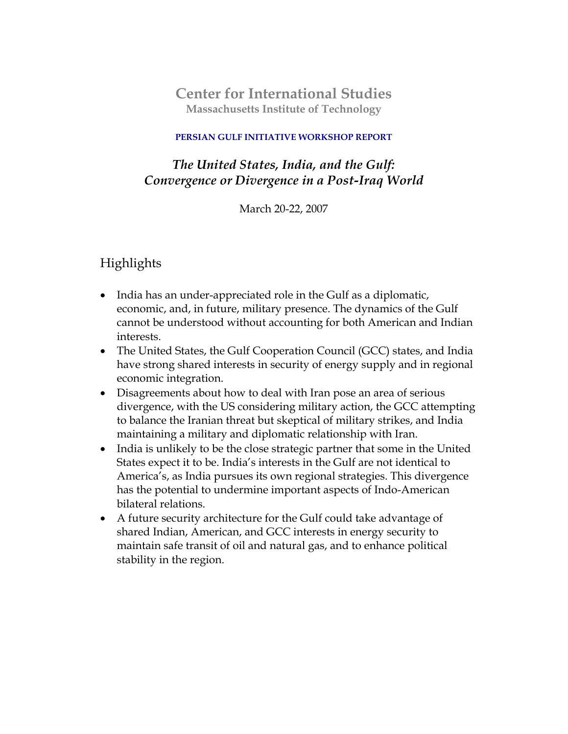**Center for International Studies Massachusetts Institute of Technology**

#### **PERSIAN GULF INITIATIVE WORKSHOP REPORT**

# *The United States, India, and the Gulf: Convergence or Divergence in a Post-Iraq World*

March 20-22, 2007

# Highlights

- India has an under-appreciated role in the Gulf as a diplomatic, economic, and, in future, military presence. The dynamics of the Gulf cannot be understood without accounting for both American and Indian interests.
- The United States, the Gulf Cooperation Council (GCC) states, and India have strong shared interests in security of energy supply and in regional economic integration.
- Disagreements about how to deal with Iran pose an area of serious divergence, with the US considering military action, the GCC attempting to balance the Iranian threat but skeptical of military strikes, and India maintaining a military and diplomatic relationship with Iran.
- India is unlikely to be the close strategic partner that some in the United States expect it to be. India's interests in the Gulf are not identical to America's, as India pursues its own regional strategies. This divergence has the potential to undermine important aspects of Indo-American bilateral relations.
- A future security architecture for the Gulf could take advantage of shared Indian, American, and GCC interests in energy security to maintain safe transit of oil and natural gas, and to enhance political stability in the region.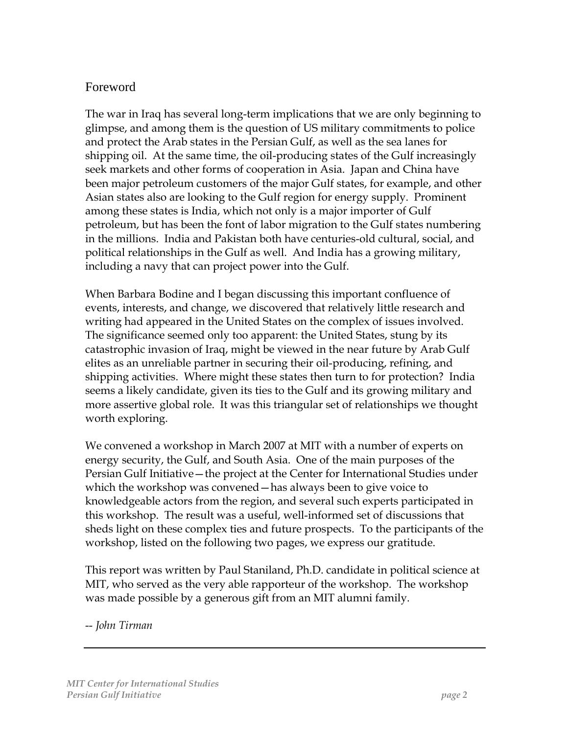## Foreword

The war in Iraq has several long-term implications that we are only beginning to glimpse, and among them is the question of US military commitments to police and protect the Arab states in the Persian Gulf, as well as the sea lanes for shipping oil. At the same time, the oil-producing states of the Gulf increasingly seek markets and other forms of cooperation in Asia. Japan and China have been major petroleum customers of the major Gulf states, for example, and other Asian states also are looking to the Gulf region for energy supply. Prominent among these states is India, which not only is a major importer of Gulf petroleum, but has been the font of labor migration to the Gulf states numbering in the millions. India and Pakistan both have centuries-old cultural, social, and political relationships in the Gulf as well. And India has a growing military, including a navy that can project power into the Gulf.

When Barbara Bodine and I began discussing this important confluence of events, interests, and change, we discovered that relatively little research and writing had appeared in the United States on the complex of issues involved. The significance seemed only too apparent: the United States, stung by its catastrophic invasion of Iraq, might be viewed in the near future by Arab Gulf elites as an unreliable partner in securing their oil-producing, refining, and shipping activities. Where might these states then turn to for protection? India seems a likely candidate, given its ties to the Gulf and its growing military and more assertive global role. It was this triangular set of relationships we thought worth exploring.

We convened a workshop in March 2007 at MIT with a number of experts on energy security, the Gulf, and South Asia. One of the main purposes of the Persian Gulf Initiative—the project at the Center for International Studies under which the workshop was convened—has always been to give voice to knowledgeable actors from the region, and several such experts participated in this workshop. The result was a useful, well-informed set of discussions that sheds light on these complex ties and future prospects. To the participants of the workshop, listed on the following two pages, we express our gratitude.

This report was written by Paul Staniland, Ph.D. candidate in political science at MIT, who served as the very able rapporteur of the workshop. The workshop was made possible by a generous gift from an MIT alumni family.

-- *John Tirman*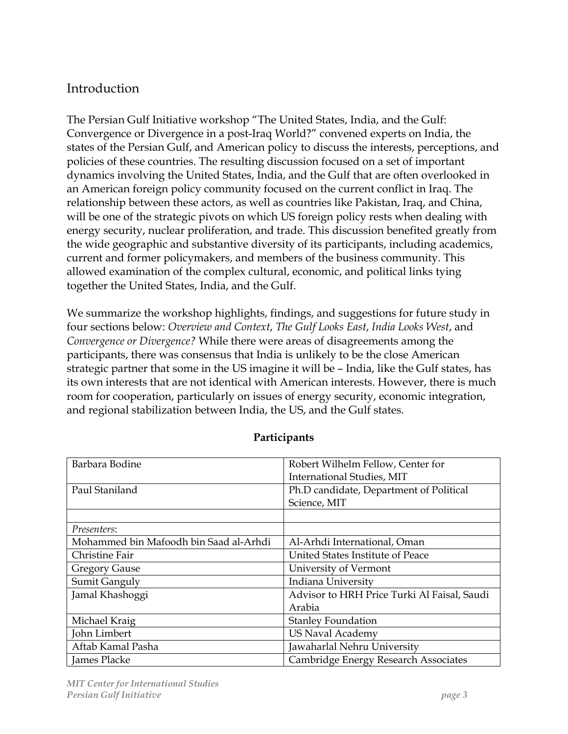# **Introduction**

The Persian Gulf Initiative workshop "The United States, India, and the Gulf: Convergence or Divergence in a post-Iraq World?" convened experts on India, the states of the Persian Gulf, and American policy to discuss the interests, perceptions, and policies of these countries. The resulting discussion focused on a set of important dynamics involving the United States, India, and the Gulf that are often overlooked in an American foreign policy community focused on the current conflict in Iraq. The relationship between these actors, as well as countries like Pakistan, Iraq, and China, will be one of the strategic pivots on which US foreign policy rests when dealing with energy security, nuclear proliferation, and trade. This discussion benefited greatly from the wide geographic and substantive diversity of its participants, including academics, current and former policymakers, and members of the business community. This allowed examination of the complex cultural, economic, and political links tying together the United States, India, and the Gulf.

We summarize the workshop highlights, findings, and suggestions for future study in four sections below: *Overview and Context*, *The Gulf Looks East*, *India Looks West*, and *Convergence or Divergence?* While there were areas of disagreements among the participants, there was consensus that India is unlikely to be the close American strategic partner that some in the US imagine it will be – India, like the Gulf states, has its own interests that are not identical with American interests. However, there is much room for cooperation, particularly on issues of energy security, economic integration, and regional stabilization between India, the US, and the Gulf states.

| Barbara Bodine                         | Robert Wilhelm Fellow, Center for           |
|----------------------------------------|---------------------------------------------|
|                                        | <b>International Studies, MIT</b>           |
| Paul Staniland                         | Ph.D candidate, Department of Political     |
|                                        | Science, MIT                                |
|                                        |                                             |
| Presenters:                            |                                             |
| Mohammed bin Mafoodh bin Saad al-Arhdi | Al-Arhdi International, Oman                |
| Christine Fair                         | United States Institute of Peace            |
| <b>Gregory Gause</b>                   | University of Vermont                       |
| Sumit Ganguly                          | Indiana University                          |
| Jamal Khashoggi                        | Advisor to HRH Price Turki Al Faisal, Saudi |
|                                        | Arabia                                      |
| Michael Kraig                          | <b>Stanley Foundation</b>                   |
| John Limbert                           | <b>US Naval Academy</b>                     |
| Aftab Kamal Pasha                      | Jawaharlal Nehru University                 |
| James Placke                           | Cambridge Energy Research Associates        |

#### **Participants**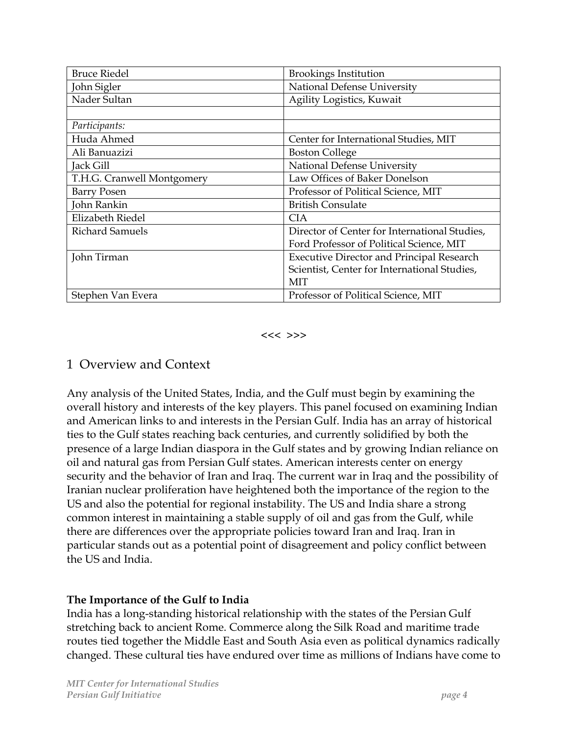| <b>Bruce Riedel</b>        | <b>Brookings Institution</b>                     |
|----------------------------|--------------------------------------------------|
| John Sigler                | National Defense University                      |
| Nader Sultan               | Agility Logistics, Kuwait                        |
|                            |                                                  |
| Participants:              |                                                  |
| Huda Ahmed                 | Center for International Studies, MIT            |
| Ali Banuazizi              | <b>Boston College</b>                            |
| Jack Gill                  | National Defense University                      |
| T.H.G. Cranwell Montgomery | Law Offices of Baker Donelson                    |
| <b>Barry Posen</b>         | Professor of Political Science, MIT              |
| John Rankin                | <b>British Consulate</b>                         |
| Elizabeth Riedel           | <b>CIA</b>                                       |
| <b>Richard Samuels</b>     | Director of Center for International Studies,    |
|                            | Ford Professor of Political Science, MIT         |
| John Tirman                | <b>Executive Director and Principal Research</b> |
|                            | Scientist, Center for International Studies,     |
|                            | MIT                                              |
| Stephen Van Evera          | Professor of Political Science, MIT              |

<<< >>>

## 1 Overview and Context

Any analysis of the United States, India, and the Gulf must begin by examining the overall history and interests of the key players. This panel focused on examining Indian and American links to and interests in the Persian Gulf. India has an array of historical ties to the Gulf states reaching back centuries, and currently solidified by both the presence of a large Indian diaspora in the Gulf states and by growing Indian reliance on oil and natural gas from Persian Gulf states. American interests center on energy security and the behavior of Iran and Iraq. The current war in Iraq and the possibility of Iranian nuclear proliferation have heightened both the importance of the region to the US and also the potential for regional instability. The US and India share a strong common interest in maintaining a stable supply of oil and gas from the Gulf, while there are differences over the appropriate policies toward Iran and Iraq. Iran in particular stands out as a potential point of disagreement and policy conflict between the US and India.

#### **The Importance of the Gulf to India**

India has a long-standing historical relationship with the states of the Persian Gulf stretching back to ancient Rome. Commerce along the Silk Road and maritime trade routes tied together the Middle East and South Asia even as political dynamics radically changed. These cultural ties have endured over time as millions of Indians have come to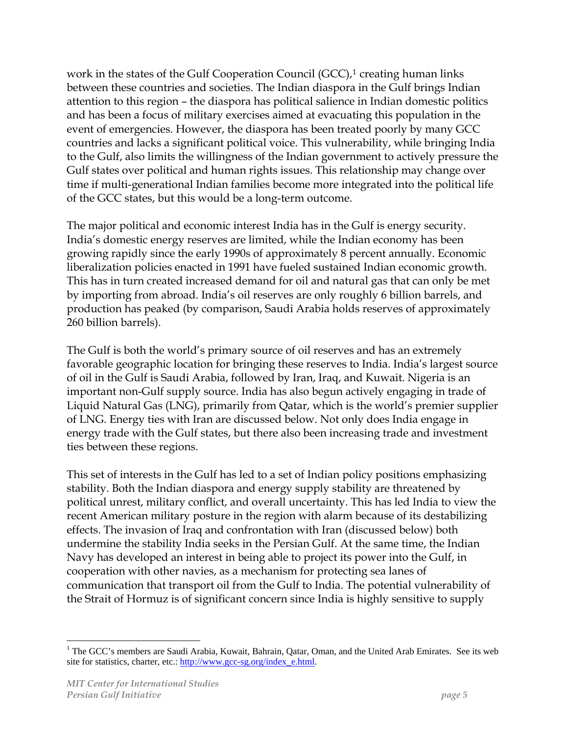work in the states of the Gulf Cooperation Council  $(GCC)$ ,<sup>[1](#page-4-0)</sup> creating human links between these countries and societies. The Indian diaspora in the Gulf brings Indian attention to this region – the diaspora has political salience in Indian domestic politics and has been a focus of military exercises aimed at evacuating this population in the event of emergencies. However, the diaspora has been treated poorly by many GCC countries and lacks a significant political voice. This vulnerability, while bringing India to the Gulf, also limits the willingness of the Indian government to actively pressure the Gulf states over political and human rights issues. This relationship may change over time if multi-generational Indian families become more integrated into the political life of the GCC states, but this would be a long-term outcome.

The major political and economic interest India has in the Gulf is energy security. India's domestic energy reserves are limited, while the Indian economy has been growing rapidly since the early 1990s of approximately 8 percent annually. Economic liberalization policies enacted in 1991 have fueled sustained Indian economic growth. This has in turn created increased demand for oil and natural gas that can only be met by importing from abroad. India's oil reserves are only roughly 6 billion barrels, and production has peaked (by comparison, Saudi Arabia holds reserves of approximately 260 billion barrels).

The Gulf is both the world's primary source of oil reserves and has an extremely favorable geographic location for bringing these reserves to India. India's largest source of oil in the Gulf is Saudi Arabia, followed by Iran, Iraq, and Kuwait. Nigeria is an important non-Gulf supply source. India has also begun actively engaging in trade of Liquid Natural Gas (LNG), primarily from Qatar, which is the world's premier supplier of LNG. Energy ties with Iran are discussed below. Not only does India engage in energy trade with the Gulf states, but there also been increasing trade and investment ties between these regions.

This set of interests in the Gulf has led to a set of Indian policy positions emphasizing stability. Both the Indian diaspora and energy supply stability are threatened by political unrest, military conflict, and overall uncertainty. This has led India to view the recent American military posture in the region with alarm because of its destabilizing effects. The invasion of Iraq and confrontation with Iran (discussed below) both undermine the stability India seeks in the Persian Gulf. At the same time, the Indian Navy has developed an interest in being able to project its power into the Gulf, in cooperation with other navies, as a mechanism for protecting sea lanes of communication that transport oil from the Gulf to India. The potential vulnerability of the Strait of Hormuz is of significant concern since India is highly sensitive to supply

 $\overline{a}$ 

<span id="page-4-0"></span><sup>&</sup>lt;sup>1</sup> The GCC's members are Saudi Arabia, Kuwait, Bahrain, Qatar, Oman, and the United Arab Emirates. See its web site for statistics, charter, etc.: [http://www.gcc-sg.org/index\\_e.html](http://www.gcc-sg.org/index_e.html).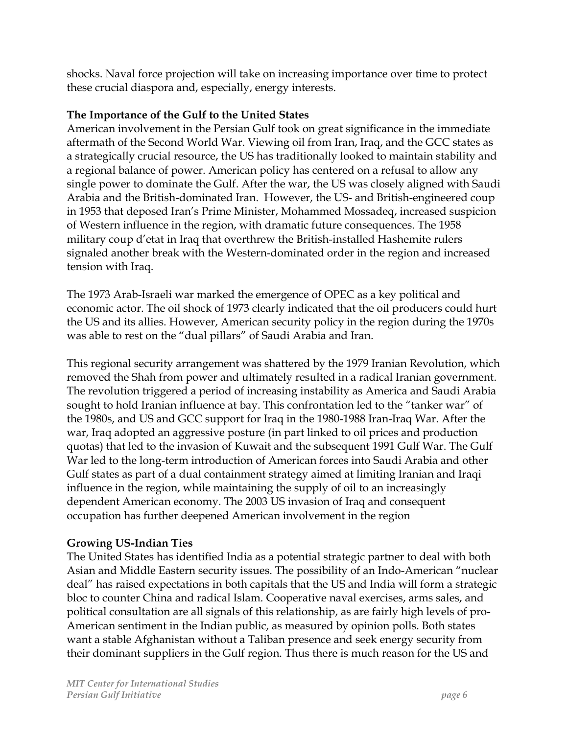shocks. Naval force projection will take on increasing importance over time to protect these crucial diaspora and, especially, energy interests.

### **The Importance of the Gulf to the United States**

American involvement in the Persian Gulf took on great significance in the immediate aftermath of the Second World War. Viewing oil from Iran, Iraq, and the GCC states as a strategically crucial resource, the US has traditionally looked to maintain stability and a regional balance of power. American policy has centered on a refusal to allow any single power to dominate the Gulf. After the war, the US was closely aligned with Saudi Arabia and the British-dominated Iran. However, the US- and British-engineered coup in 1953 that deposed Iran's Prime Minister, Mohammed Mossadeq, increased suspicion of Western influence in the region, with dramatic future consequences. The 1958 military coup d'etat in Iraq that overthrew the British-installed Hashemite rulers signaled another break with the Western-dominated order in the region and increased tension with Iraq.

The 1973 Arab-Israeli war marked the emergence of OPEC as a key political and economic actor. The oil shock of 1973 clearly indicated that the oil producers could hurt the US and its allies. However, American security policy in the region during the 1970s was able to rest on the "dual pillars" of Saudi Arabia and Iran.

This regional security arrangement was shattered by the 1979 Iranian Revolution, which removed the Shah from power and ultimately resulted in a radical Iranian government. The revolution triggered a period of increasing instability as America and Saudi Arabia sought to hold Iranian influence at bay. This confrontation led to the "tanker war" of the 1980s, and US and GCC support for Iraq in the 1980-1988 Iran-Iraq War. After the war, Iraq adopted an aggressive posture (in part linked to oil prices and production quotas) that led to the invasion of Kuwait and the subsequent 1991 Gulf War. The Gulf War led to the long-term introduction of American forces into Saudi Arabia and other Gulf states as part of a dual containment strategy aimed at limiting Iranian and Iraqi influence in the region, while maintaining the supply of oil to an increasingly dependent American economy. The 2003 US invasion of Iraq and consequent occupation has further deepened American involvement in the region

### **Growing US-Indian Ties**

The United States has identified India as a potential strategic partner to deal with both Asian and Middle Eastern security issues. The possibility of an Indo-American "nuclear deal" has raised expectations in both capitals that the US and India will form a strategic bloc to counter China and radical Islam. Cooperative naval exercises, arms sales, and political consultation are all signals of this relationship, as are fairly high levels of pro-American sentiment in the Indian public, as measured by opinion polls. Both states want a stable Afghanistan without a Taliban presence and seek energy security from their dominant suppliers in the Gulf region. Thus there is much reason for the US and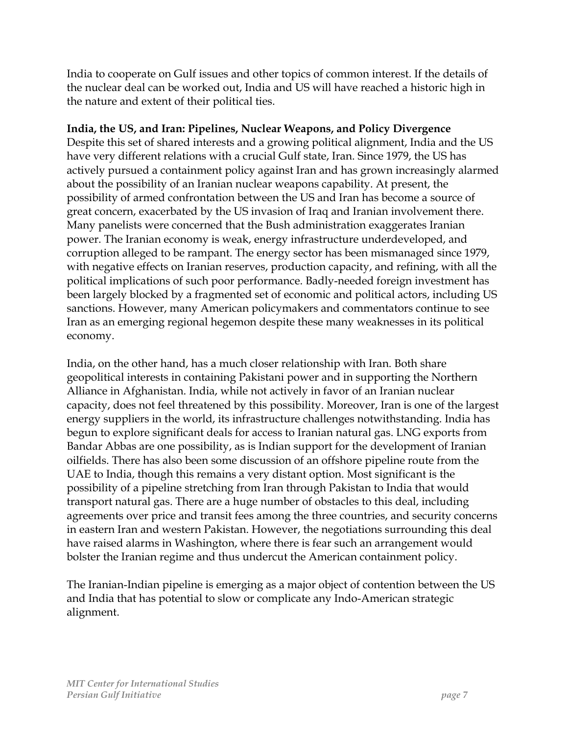India to cooperate on Gulf issues and other topics of common interest. If the details of the nuclear deal can be worked out, India and US will have reached a historic high in the nature and extent of their political ties.

#### **India, the US, and Iran: Pipelines, Nuclear Weapons, and Policy Divergence**

Despite this set of shared interests and a growing political alignment, India and the US have very different relations with a crucial Gulf state, Iran. Since 1979, the US has actively pursued a containment policy against Iran and has grown increasingly alarmed about the possibility of an Iranian nuclear weapons capability. At present, the possibility of armed confrontation between the US and Iran has become a source of great concern, exacerbated by the US invasion of Iraq and Iranian involvement there. Many panelists were concerned that the Bush administration exaggerates Iranian power. The Iranian economy is weak, energy infrastructure underdeveloped, and corruption alleged to be rampant. The energy sector has been mismanaged since 1979, with negative effects on Iranian reserves, production capacity, and refining, with all the political implications of such poor performance. Badly-needed foreign investment has been largely blocked by a fragmented set of economic and political actors, including US sanctions. However, many American policymakers and commentators continue to see Iran as an emerging regional hegemon despite these many weaknesses in its political economy.

India, on the other hand, has a much closer relationship with Iran. Both share geopolitical interests in containing Pakistani power and in supporting the Northern Alliance in Afghanistan. India, while not actively in favor of an Iranian nuclear capacity, does not feel threatened by this possibility. Moreover, Iran is one of the largest energy suppliers in the world, its infrastructure challenges notwithstanding. India has begun to explore significant deals for access to Iranian natural gas. LNG exports from Bandar Abbas are one possibility, as is Indian support for the development of Iranian oilfields. There has also been some discussion of an offshore pipeline route from the UAE to India, though this remains a very distant option. Most significant is the possibility of a pipeline stretching from Iran through Pakistan to India that would transport natural gas. There are a huge number of obstacles to this deal, including agreements over price and transit fees among the three countries, and security concerns in eastern Iran and western Pakistan. However, the negotiations surrounding this deal have raised alarms in Washington, where there is fear such an arrangement would bolster the Iranian regime and thus undercut the American containment policy.

The Iranian-Indian pipeline is emerging as a major object of contention between the US and India that has potential to slow or complicate any Indo-American strategic alignment.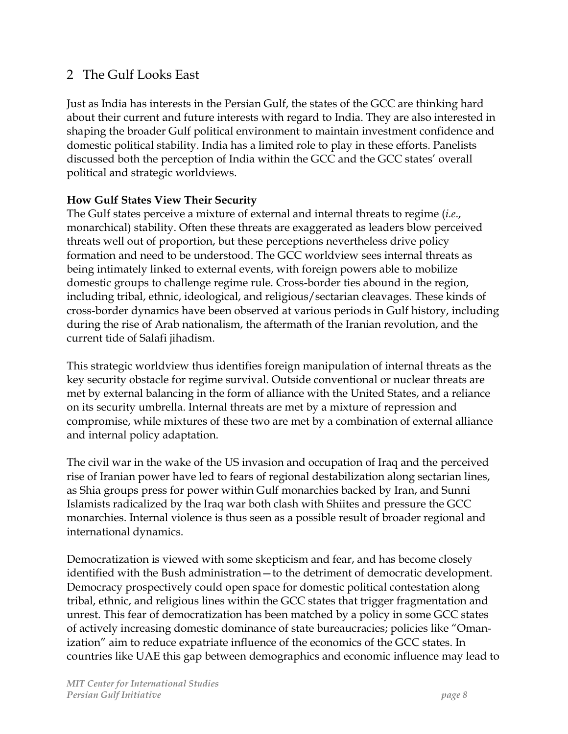# 2 The Gulf Looks East

Just as India has interests in the Persian Gulf, the states of the GCC are thinking hard about their current and future interests with regard to India. They are also interested in shaping the broader Gulf political environment to maintain investment confidence and domestic political stability. India has a limited role to play in these efforts. Panelists discussed both the perception of India within the GCC and the GCC states' overall political and strategic worldviews.

#### **How Gulf States View Their Security**

The Gulf states perceive a mixture of external and internal threats to regime (*i.e*., monarchical) stability. Often these threats are exaggerated as leaders blow perceived threats well out of proportion, but these perceptions nevertheless drive policy formation and need to be understood. The GCC worldview sees internal threats as being intimately linked to external events, with foreign powers able to mobilize domestic groups to challenge regime rule. Cross-border ties abound in the region, including tribal, ethnic, ideological, and religious/sectarian cleavages. These kinds of cross-border dynamics have been observed at various periods in Gulf history, including during the rise of Arab nationalism, the aftermath of the Iranian revolution, and the current tide of Salafi jihadism.

This strategic worldview thus identifies foreign manipulation of internal threats as the key security obstacle for regime survival. Outside conventional or nuclear threats are met by external balancing in the form of alliance with the United States, and a reliance on its security umbrella. Internal threats are met by a mixture of repression and compromise, while mixtures of these two are met by a combination of external alliance and internal policy adaptation.

The civil war in the wake of the US invasion and occupation of Iraq and the perceived rise of Iranian power have led to fears of regional destabilization along sectarian lines, as Shia groups press for power within Gulf monarchies backed by Iran, and Sunni Islamists radicalized by the Iraq war both clash with Shiites and pressure the GCC monarchies. Internal violence is thus seen as a possible result of broader regional and international dynamics.

Democratization is viewed with some skepticism and fear, and has become closely identified with the Bush administration—to the detriment of democratic development. Democracy prospectively could open space for domestic political contestation along tribal, ethnic, and religious lines within the GCC states that trigger fragmentation and unrest. This fear of democratization has been matched by a policy in some GCC states of actively increasing domestic dominance of state bureaucracies; policies like "Omanization" aim to reduce expatriate influence of the economics of the GCC states. In countries like UAE this gap between demographics and economic influence may lead to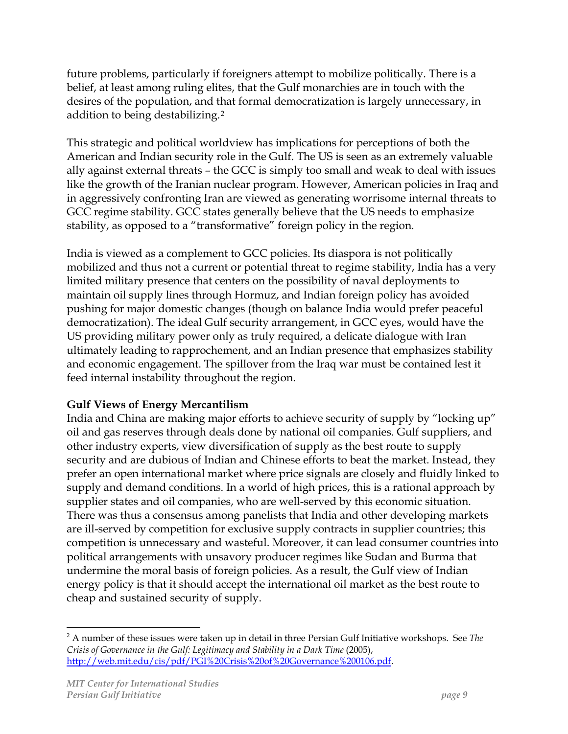future problems, particularly if foreigners attempt to mobilize politically. There is a belief, at least among ruling elites, that the Gulf monarchies are in touch with the desires of the population, and that formal democratization is largely unnecessary, in addition to being destabilizing.[2](#page-8-0)

This strategic and political worldview has implications for perceptions of both the American and Indian security role in the Gulf. The US is seen as an extremely valuable ally against external threats – the GCC is simply too small and weak to deal with issues like the growth of the Iranian nuclear program. However, American policies in Iraq and in aggressively confronting Iran are viewed as generating worrisome internal threats to GCC regime stability. GCC states generally believe that the US needs to emphasize stability, as opposed to a "transformative" foreign policy in the region.

India is viewed as a complement to GCC policies. Its diaspora is not politically mobilized and thus not a current or potential threat to regime stability, India has a very limited military presence that centers on the possibility of naval deployments to maintain oil supply lines through Hormuz, and Indian foreign policy has avoided pushing for major domestic changes (though on balance India would prefer peaceful democratization). The ideal Gulf security arrangement, in GCC eyes, would have the US providing military power only as truly required, a delicate dialogue with Iran ultimately leading to rapprochement, and an Indian presence that emphasizes stability and economic engagement. The spillover from the Iraq war must be contained lest it feed internal instability throughout the region.

### **Gulf Views of Energy Mercantilism**

India and China are making major efforts to achieve security of supply by "locking up" oil and gas reserves through deals done by national oil companies. Gulf suppliers, and other industry experts, view diversification of supply as the best route to supply security and are dubious of Indian and Chinese efforts to beat the market. Instead, they prefer an open international market where price signals are closely and fluidly linked to supply and demand conditions. In a world of high prices, this is a rational approach by supplier states and oil companies, who are well-served by this economic situation. There was thus a consensus among panelists that India and other developing markets are ill-served by competition for exclusive supply contracts in supplier countries; this competition is unnecessary and wasteful. Moreover, it can lead consumer countries into political arrangements with unsavory producer regimes like Sudan and Burma that undermine the moral basis of foreign policies. As a result, the Gulf view of Indian energy policy is that it should accept the international oil market as the best route to cheap and sustained security of supply.

 $\overline{a}$ 

<span id="page-8-0"></span><sup>2</sup> A number of these issues were taken up in detail in three Persian Gulf Initiative workshops. See *The Crisis of Governance in the Gulf: Legitimacy and Stability in a Dark Time* (2005), <http://web.mit.edu/cis/pdf/PGI%20Crisis%20of%20Governance%200106.pdf>.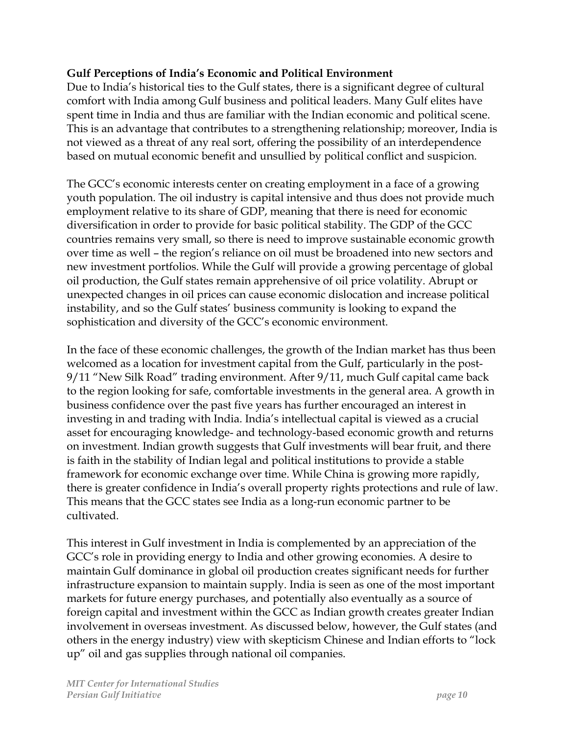### **Gulf Perceptions of India's Economic and Political Environment**

Due to India's historical ties to the Gulf states, there is a significant degree of cultural comfort with India among Gulf business and political leaders. Many Gulf elites have spent time in India and thus are familiar with the Indian economic and political scene. This is an advantage that contributes to a strengthening relationship; moreover, India is not viewed as a threat of any real sort, offering the possibility of an interdependence based on mutual economic benefit and unsullied by political conflict and suspicion.

The GCC's economic interests center on creating employment in a face of a growing youth population. The oil industry is capital intensive and thus does not provide much employment relative to its share of GDP, meaning that there is need for economic diversification in order to provide for basic political stability. The GDP of the GCC countries remains very small, so there is need to improve sustainable economic growth over time as well – the region's reliance on oil must be broadened into new sectors and new investment portfolios. While the Gulf will provide a growing percentage of global oil production, the Gulf states remain apprehensive of oil price volatility. Abrupt or unexpected changes in oil prices can cause economic dislocation and increase political instability, and so the Gulf states' business community is looking to expand the sophistication and diversity of the GCC's economic environment.

In the face of these economic challenges, the growth of the Indian market has thus been welcomed as a location for investment capital from the Gulf, particularly in the post-9/11 "New Silk Road" trading environment. After 9/11, much Gulf capital came back to the region looking for safe, comfortable investments in the general area. A growth in business confidence over the past five years has further encouraged an interest in investing in and trading with India. India's intellectual capital is viewed as a crucial asset for encouraging knowledge- and technology-based economic growth and returns on investment. Indian growth suggests that Gulf investments will bear fruit, and there is faith in the stability of Indian legal and political institutions to provide a stable framework for economic exchange over time. While China is growing more rapidly, there is greater confidence in India's overall property rights protections and rule of law. This means that the GCC states see India as a long-run economic partner to be cultivated.

This interest in Gulf investment in India is complemented by an appreciation of the GCC's role in providing energy to India and other growing economies. A desire to maintain Gulf dominance in global oil production creates significant needs for further infrastructure expansion to maintain supply. India is seen as one of the most important markets for future energy purchases, and potentially also eventually as a source of foreign capital and investment within the GCC as Indian growth creates greater Indian involvement in overseas investment. As discussed below, however, the Gulf states (and others in the energy industry) view with skepticism Chinese and Indian efforts to "lock up" oil and gas supplies through national oil companies.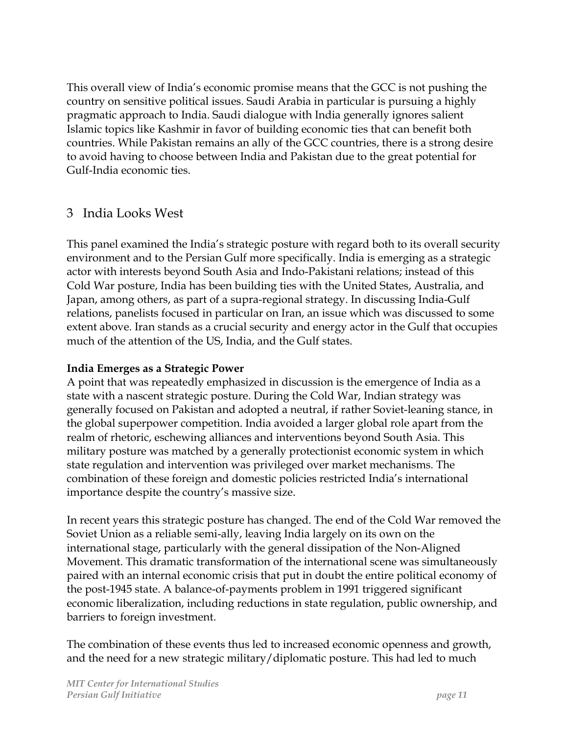This overall view of India's economic promise means that the GCC is not pushing the country on sensitive political issues. Saudi Arabia in particular is pursuing a highly pragmatic approach to India. Saudi dialogue with India generally ignores salient Islamic topics like Kashmir in favor of building economic ties that can benefit both countries. While Pakistan remains an ally of the GCC countries, there is a strong desire to avoid having to choose between India and Pakistan due to the great potential for Gulf-India economic ties.

## 3 India Looks West

This panel examined the India's strategic posture with regard both to its overall security environment and to the Persian Gulf more specifically. India is emerging as a strategic actor with interests beyond South Asia and Indo-Pakistani relations; instead of this Cold War posture, India has been building ties with the United States, Australia, and Japan, among others, as part of a supra-regional strategy. In discussing India-Gulf relations, panelists focused in particular on Iran, an issue which was discussed to some extent above. Iran stands as a crucial security and energy actor in the Gulf that occupies much of the attention of the US, India, and the Gulf states.

#### **India Emerges as a Strategic Power**

A point that was repeatedly emphasized in discussion is the emergence of India as a state with a nascent strategic posture. During the Cold War, Indian strategy was generally focused on Pakistan and adopted a neutral, if rather Soviet-leaning stance, in the global superpower competition. India avoided a larger global role apart from the realm of rhetoric, eschewing alliances and interventions beyond South Asia. This military posture was matched by a generally protectionist economic system in which state regulation and intervention was privileged over market mechanisms. The combination of these foreign and domestic policies restricted India's international importance despite the country's massive size.

In recent years this strategic posture has changed. The end of the Cold War removed the Soviet Union as a reliable semi-ally, leaving India largely on its own on the international stage, particularly with the general dissipation of the Non-Aligned Movement. This dramatic transformation of the international scene was simultaneously paired with an internal economic crisis that put in doubt the entire political economy of the post-1945 state. A balance-of-payments problem in 1991 triggered significant economic liberalization, including reductions in state regulation, public ownership, and barriers to foreign investment.

The combination of these events thus led to increased economic openness and growth, and the need for a new strategic military/diplomatic posture. This had led to much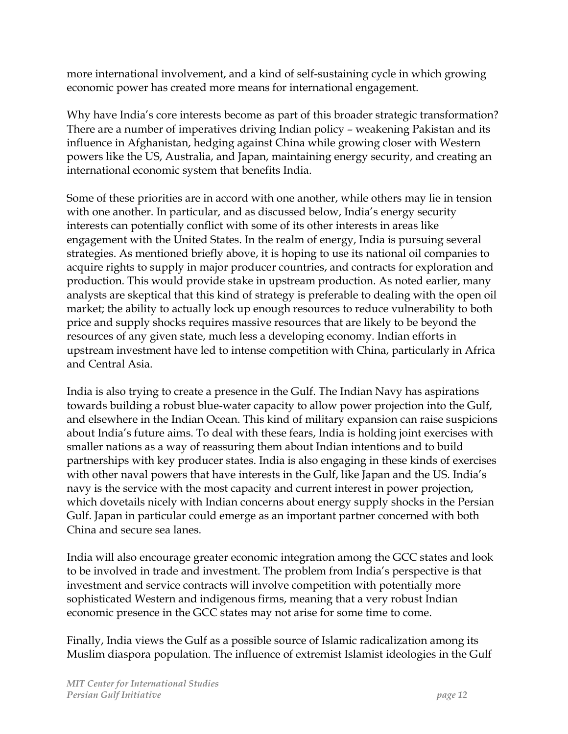more international involvement, and a kind of self-sustaining cycle in which growing economic power has created more means for international engagement.

Why have India's core interests become as part of this broader strategic transformation? There are a number of imperatives driving Indian policy – weakening Pakistan and its influence in Afghanistan, hedging against China while growing closer with Western powers like the US, Australia, and Japan, maintaining energy security, and creating an international economic system that benefits India.

Some of these priorities are in accord with one another, while others may lie in tension with one another. In particular, and as discussed below, India's energy security interests can potentially conflict with some of its other interests in areas like engagement with the United States. In the realm of energy, India is pursuing several strategies. As mentioned briefly above, it is hoping to use its national oil companies to acquire rights to supply in major producer countries, and contracts for exploration and production. This would provide stake in upstream production. As noted earlier, many analysts are skeptical that this kind of strategy is preferable to dealing with the open oil market; the ability to actually lock up enough resources to reduce vulnerability to both price and supply shocks requires massive resources that are likely to be beyond the resources of any given state, much less a developing economy. Indian efforts in upstream investment have led to intense competition with China, particularly in Africa and Central Asia.

India is also trying to create a presence in the Gulf. The Indian Navy has aspirations towards building a robust blue-water capacity to allow power projection into the Gulf, and elsewhere in the Indian Ocean. This kind of military expansion can raise suspicions about India's future aims. To deal with these fears, India is holding joint exercises with smaller nations as a way of reassuring them about Indian intentions and to build partnerships with key producer states. India is also engaging in these kinds of exercises with other naval powers that have interests in the Gulf, like Japan and the US. India's navy is the service with the most capacity and current interest in power projection, which dovetails nicely with Indian concerns about energy supply shocks in the Persian Gulf. Japan in particular could emerge as an important partner concerned with both China and secure sea lanes.

India will also encourage greater economic integration among the GCC states and look to be involved in trade and investment. The problem from India's perspective is that investment and service contracts will involve competition with potentially more sophisticated Western and indigenous firms, meaning that a very robust Indian economic presence in the GCC states may not arise for some time to come.

Finally, India views the Gulf as a possible source of Islamic radicalization among its Muslim diaspora population. The influence of extremist Islamist ideologies in the Gulf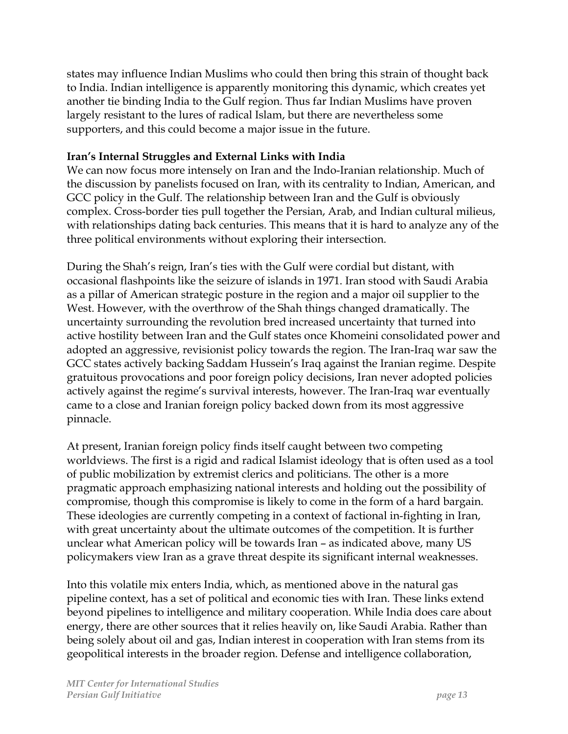states may influence Indian Muslims who could then bring this strain of thought back to India. Indian intelligence is apparently monitoring this dynamic, which creates yet another tie binding India to the Gulf region. Thus far Indian Muslims have proven largely resistant to the lures of radical Islam, but there are nevertheless some supporters, and this could become a major issue in the future.

### **Iran's Internal Struggles and External Links with India**

We can now focus more intensely on Iran and the Indo-Iranian relationship. Much of the discussion by panelists focused on Iran, with its centrality to Indian, American, and GCC policy in the Gulf. The relationship between Iran and the Gulf is obviously complex. Cross-border ties pull together the Persian, Arab, and Indian cultural milieus, with relationships dating back centuries. This means that it is hard to analyze any of the three political environments without exploring their intersection.

During the Shah's reign, Iran's ties with the Gulf were cordial but distant, with occasional flashpoints like the seizure of islands in 1971. Iran stood with Saudi Arabia as a pillar of American strategic posture in the region and a major oil supplier to the West. However, with the overthrow of the Shah things changed dramatically. The uncertainty surrounding the revolution bred increased uncertainty that turned into active hostility between Iran and the Gulf states once Khomeini consolidated power and adopted an aggressive, revisionist policy towards the region. The Iran-Iraq war saw the GCC states actively backing Saddam Hussein's Iraq against the Iranian regime. Despite gratuitous provocations and poor foreign policy decisions, Iran never adopted policies actively against the regime's survival interests, however. The Iran-Iraq war eventually came to a close and Iranian foreign policy backed down from its most aggressive pinnacle.

At present, Iranian foreign policy finds itself caught between two competing worldviews. The first is a rigid and radical Islamist ideology that is often used as a tool of public mobilization by extremist clerics and politicians. The other is a more pragmatic approach emphasizing national interests and holding out the possibility of compromise, though this compromise is likely to come in the form of a hard bargain. These ideologies are currently competing in a context of factional in-fighting in Iran, with great uncertainty about the ultimate outcomes of the competition. It is further unclear what American policy will be towards Iran – as indicated above, many US policymakers view Iran as a grave threat despite its significant internal weaknesses.

Into this volatile mix enters India, which, as mentioned above in the natural gas pipeline context, has a set of political and economic ties with Iran. These links extend beyond pipelines to intelligence and military cooperation. While India does care about energy, there are other sources that it relies heavily on, like Saudi Arabia. Rather than being solely about oil and gas, Indian interest in cooperation with Iran stems from its geopolitical interests in the broader region. Defense and intelligence collaboration,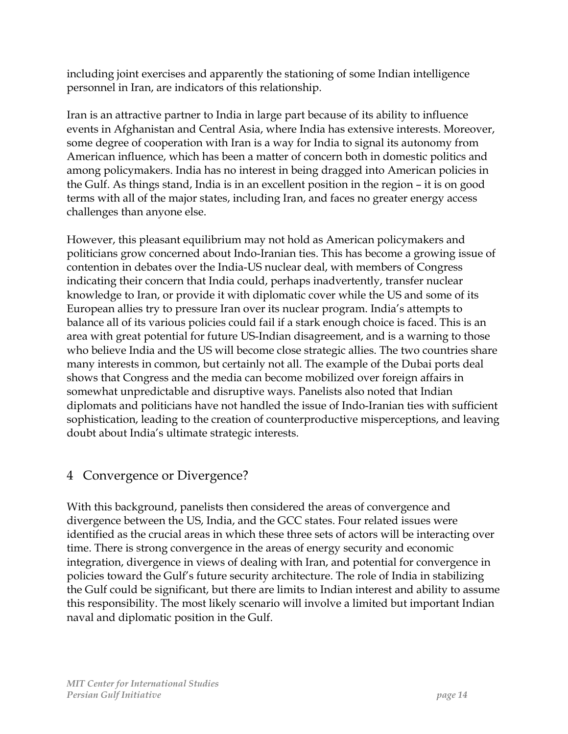including joint exercises and apparently the stationing of some Indian intelligence personnel in Iran, are indicators of this relationship.

Iran is an attractive partner to India in large part because of its ability to influence events in Afghanistan and Central Asia, where India has extensive interests. Moreover, some degree of cooperation with Iran is a way for India to signal its autonomy from American influence, which has been a matter of concern both in domestic politics and among policymakers. India has no interest in being dragged into American policies in the Gulf. As things stand, India is in an excellent position in the region – it is on good terms with all of the major states, including Iran, and faces no greater energy access challenges than anyone else.

However, this pleasant equilibrium may not hold as American policymakers and politicians grow concerned about Indo-Iranian ties. This has become a growing issue of contention in debates over the India-US nuclear deal, with members of Congress indicating their concern that India could, perhaps inadvertently, transfer nuclear knowledge to Iran, or provide it with diplomatic cover while the US and some of its European allies try to pressure Iran over its nuclear program. India's attempts to balance all of its various policies could fail if a stark enough choice is faced. This is an area with great potential for future US-Indian disagreement, and is a warning to those who believe India and the US will become close strategic allies. The two countries share many interests in common, but certainly not all. The example of the Dubai ports deal shows that Congress and the media can become mobilized over foreign affairs in somewhat unpredictable and disruptive ways. Panelists also noted that Indian diplomats and politicians have not handled the issue of Indo-Iranian ties with sufficient sophistication, leading to the creation of counterproductive misperceptions, and leaving doubt about India's ultimate strategic interests.

# 4 Convergence or Divergence?

With this background, panelists then considered the areas of convergence and divergence between the US, India, and the GCC states. Four related issues were identified as the crucial areas in which these three sets of actors will be interacting over time. There is strong convergence in the areas of energy security and economic integration, divergence in views of dealing with Iran, and potential for convergence in policies toward the Gulf's future security architecture. The role of India in stabilizing the Gulf could be significant, but there are limits to Indian interest and ability to assume this responsibility. The most likely scenario will involve a limited but important Indian naval and diplomatic position in the Gulf.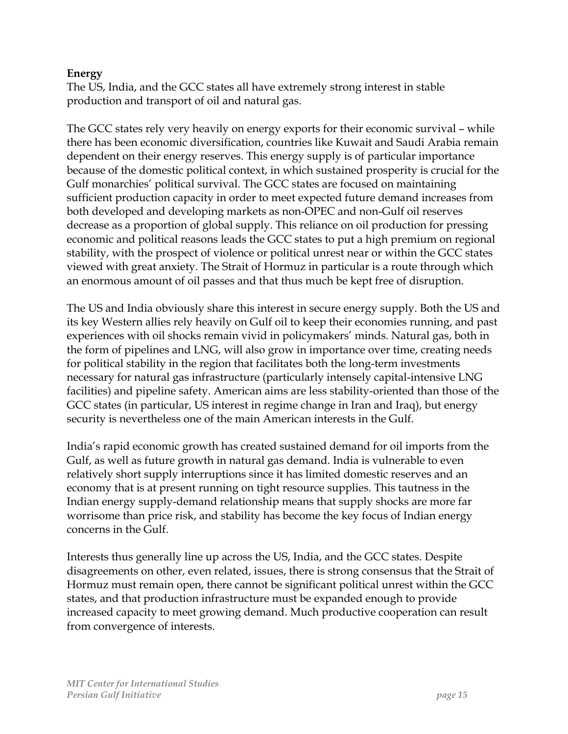#### **Energy**

The US, India, and the GCC states all have extremely strong interest in stable production and transport of oil and natural gas.

The GCC states rely very heavily on energy exports for their economic survival – while there has been economic diversification, countries like Kuwait and Saudi Arabia remain dependent on their energy reserves. This energy supply is of particular importance because of the domestic political context, in which sustained prosperity is crucial for the Gulf monarchies' political survival. The GCC states are focused on maintaining sufficient production capacity in order to meet expected future demand increases from both developed and developing markets as non-OPEC and non-Gulf oil reserves decrease as a proportion of global supply. This reliance on oil production for pressing economic and political reasons leads the GCC states to put a high premium on regional stability, with the prospect of violence or political unrest near or within the GCC states viewed with great anxiety. The Strait of Hormuz in particular is a route through which an enormous amount of oil passes and that thus much be kept free of disruption.

The US and India obviously share this interest in secure energy supply. Both the US and its key Western allies rely heavily on Gulf oil to keep their economies running, and past experiences with oil shocks remain vivid in policymakers' minds. Natural gas, both in the form of pipelines and LNG, will also grow in importance over time, creating needs for political stability in the region that facilitates both the long-term investments necessary for natural gas infrastructure (particularly intensely capital-intensive LNG facilities) and pipeline safety. American aims are less stability-oriented than those of the GCC states (in particular, US interest in regime change in Iran and Iraq), but energy security is nevertheless one of the main American interests in the Gulf.

India's rapid economic growth has created sustained demand for oil imports from the Gulf, as well as future growth in natural gas demand. India is vulnerable to even relatively short supply interruptions since it has limited domestic reserves and an economy that is at present running on tight resource supplies. This tautness in the Indian energy supply-demand relationship means that supply shocks are more far worrisome than price risk, and stability has become the key focus of Indian energy concerns in the Gulf.

Interests thus generally line up across the US, India, and the GCC states. Despite disagreements on other, even related, issues, there is strong consensus that the Strait of Hormuz must remain open, there cannot be significant political unrest within the GCC states, and that production infrastructure must be expanded enough to provide increased capacity to meet growing demand. Much productive cooperation can result from convergence of interests.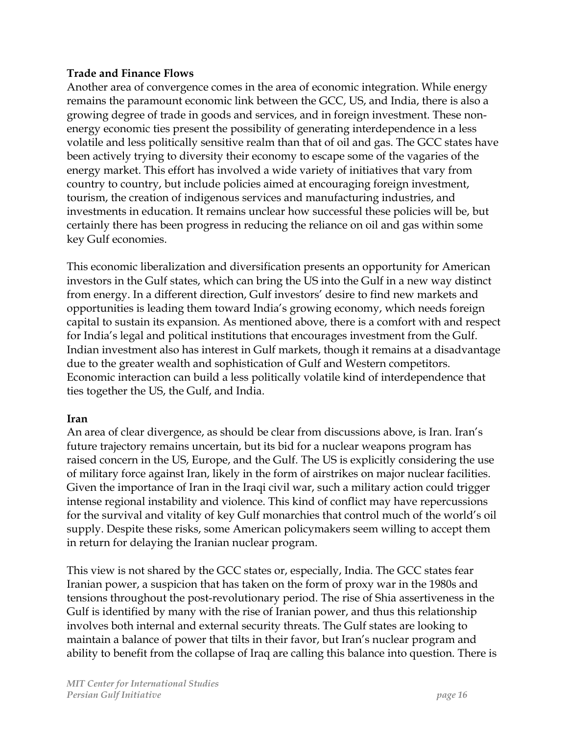#### **Trade and Finance Flows**

Another area of convergence comes in the area of economic integration. While energy remains the paramount economic link between the GCC, US, and India, there is also a growing degree of trade in goods and services, and in foreign investment. These nonenergy economic ties present the possibility of generating interdependence in a less volatile and less politically sensitive realm than that of oil and gas. The GCC states have been actively trying to diversity their economy to escape some of the vagaries of the energy market. This effort has involved a wide variety of initiatives that vary from country to country, but include policies aimed at encouraging foreign investment, tourism, the creation of indigenous services and manufacturing industries, and investments in education. It remains unclear how successful these policies will be, but certainly there has been progress in reducing the reliance on oil and gas within some key Gulf economies.

This economic liberalization and diversification presents an opportunity for American investors in the Gulf states, which can bring the US into the Gulf in a new way distinct from energy. In a different direction, Gulf investors' desire to find new markets and opportunities is leading them toward India's growing economy, which needs foreign capital to sustain its expansion. As mentioned above, there is a comfort with and respect for India's legal and political institutions that encourages investment from the Gulf. Indian investment also has interest in Gulf markets, though it remains at a disadvantage due to the greater wealth and sophistication of Gulf and Western competitors. Economic interaction can build a less politically volatile kind of interdependence that ties together the US, the Gulf, and India.

#### **Iran**

An area of clear divergence, as should be clear from discussions above, is Iran. Iran's future trajectory remains uncertain, but its bid for a nuclear weapons program has raised concern in the US, Europe, and the Gulf. The US is explicitly considering the use of military force against Iran, likely in the form of airstrikes on major nuclear facilities. Given the importance of Iran in the Iraqi civil war, such a military action could trigger intense regional instability and violence. This kind of conflict may have repercussions for the survival and vitality of key Gulf monarchies that control much of the world's oil supply. Despite these risks, some American policymakers seem willing to accept them in return for delaying the Iranian nuclear program.

This view is not shared by the GCC states or, especially, India. The GCC states fear Iranian power, a suspicion that has taken on the form of proxy war in the 1980s and tensions throughout the post-revolutionary period. The rise of Shia assertiveness in the Gulf is identified by many with the rise of Iranian power, and thus this relationship involves both internal and external security threats. The Gulf states are looking to maintain a balance of power that tilts in their favor, but Iran's nuclear program and ability to benefit from the collapse of Iraq are calling this balance into question. There is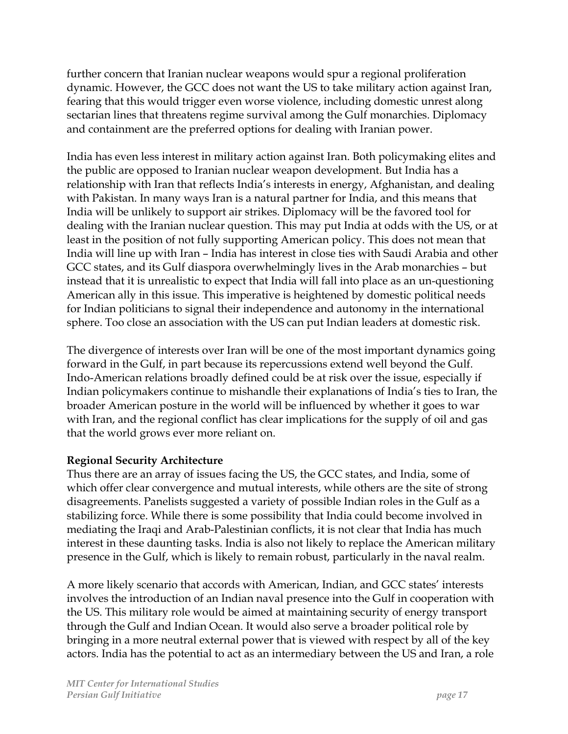further concern that Iranian nuclear weapons would spur a regional proliferation dynamic. However, the GCC does not want the US to take military action against Iran, fearing that this would trigger even worse violence, including domestic unrest along sectarian lines that threatens regime survival among the Gulf monarchies. Diplomacy and containment are the preferred options for dealing with Iranian power.

India has even less interest in military action against Iran. Both policymaking elites and the public are opposed to Iranian nuclear weapon development. But India has a relationship with Iran that reflects India's interests in energy, Afghanistan, and dealing with Pakistan. In many ways Iran is a natural partner for India, and this means that India will be unlikely to support air strikes. Diplomacy will be the favored tool for dealing with the Iranian nuclear question. This may put India at odds with the US, or at least in the position of not fully supporting American policy. This does not mean that India will line up with Iran – India has interest in close ties with Saudi Arabia and other GCC states, and its Gulf diaspora overwhelmingly lives in the Arab monarchies – but instead that it is unrealistic to expect that India will fall into place as an un-questioning American ally in this issue. This imperative is heightened by domestic political needs for Indian politicians to signal their independence and autonomy in the international sphere. Too close an association with the US can put Indian leaders at domestic risk.

The divergence of interests over Iran will be one of the most important dynamics going forward in the Gulf, in part because its repercussions extend well beyond the Gulf. Indo-American relations broadly defined could be at risk over the issue, especially if Indian policymakers continue to mishandle their explanations of India's ties to Iran, the broader American posture in the world will be influenced by whether it goes to war with Iran, and the regional conflict has clear implications for the supply of oil and gas that the world grows ever more reliant on.

#### **Regional Security Architecture**

Thus there are an array of issues facing the US, the GCC states, and India, some of which offer clear convergence and mutual interests, while others are the site of strong disagreements. Panelists suggested a variety of possible Indian roles in the Gulf as a stabilizing force. While there is some possibility that India could become involved in mediating the Iraqi and Arab-Palestinian conflicts, it is not clear that India has much interest in these daunting tasks. India is also not likely to replace the American military presence in the Gulf, which is likely to remain robust, particularly in the naval realm.

A more likely scenario that accords with American, Indian, and GCC states' interests involves the introduction of an Indian naval presence into the Gulf in cooperation with the US. This military role would be aimed at maintaining security of energy transport through the Gulf and Indian Ocean. It would also serve a broader political role by bringing in a more neutral external power that is viewed with respect by all of the key actors. India has the potential to act as an intermediary between the US and Iran, a role